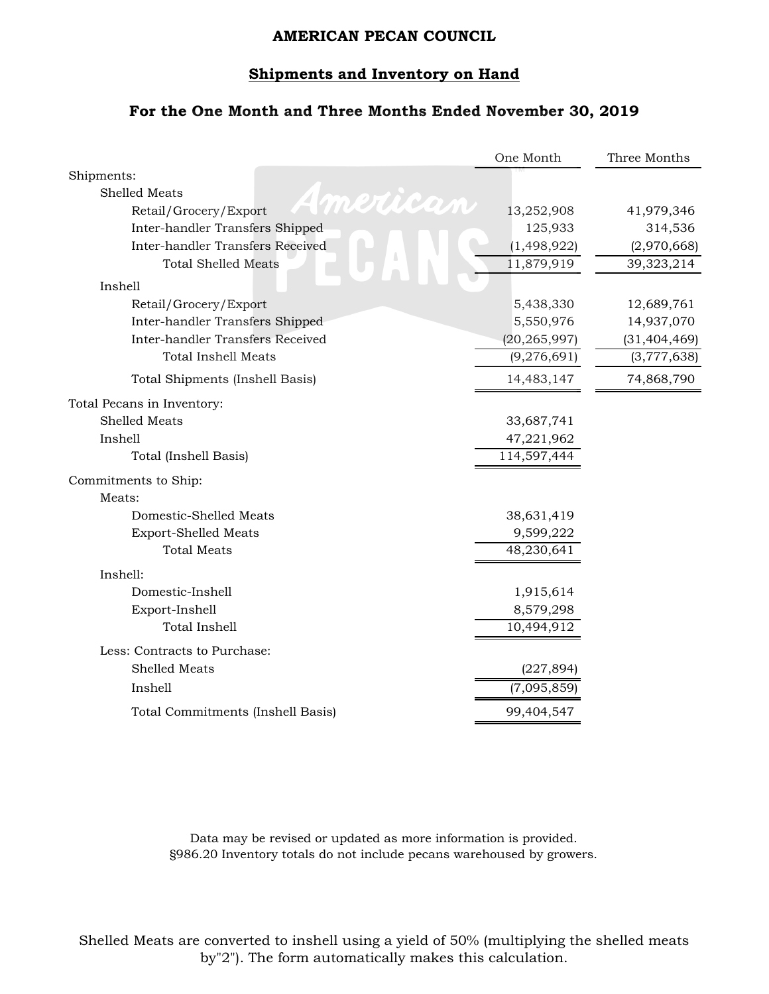#### **Shipments and Inventory on Hand**

# **For the One Month and Three Months Ended November 30, 2019**

|                                   | One Month      | Three Months   |
|-----------------------------------|----------------|----------------|
| Shipments:                        |                |                |
| Shelled Meats<br>mertican         |                |                |
| Retail/Grocery/Export             | 13,252,908     | 41,979,346     |
| Inter-handler Transfers Shipped   | 125,933        | 314,536        |
| Inter-handler Transfers Received  | (1,498,922)    | (2,970,668)    |
| <b>Total Shelled Meats</b>        | 11,879,919     | 39,323,214     |
| Inshell                           |                |                |
| Retail/Grocery/Export             | 5,438,330      | 12,689,761     |
| Inter-handler Transfers Shipped   | 5,550,976      | 14,937,070     |
| Inter-handler Transfers Received  | (20, 265, 997) | (31, 404, 469) |
| <b>Total Inshell Meats</b>        | (9,276,691)    | (3,777,638)    |
| Total Shipments (Inshell Basis)   | 14,483,147     | 74,868,790     |
| Total Pecans in Inventory:        |                |                |
| <b>Shelled Meats</b>              | 33,687,741     |                |
| Inshell                           | 47,221,962     |                |
| Total (Inshell Basis)             | 114,597,444    |                |
| Commitments to Ship:              |                |                |
| Meats:                            |                |                |
| Domestic-Shelled Meats            | 38,631,419     |                |
| Export-Shelled Meats              | 9,599,222      |                |
| <b>Total Meats</b>                | 48,230,641     |                |
| Inshell:                          |                |                |
| Domestic-Inshell                  | 1,915,614      |                |
| Export-Inshell                    | 8,579,298      |                |
| <b>Total Inshell</b>              | 10,494,912     |                |
| Less: Contracts to Purchase:      |                |                |
| <b>Shelled Meats</b>              | (227, 894)     |                |
| Inshell                           | (7,095,859)    |                |
| Total Commitments (Inshell Basis) | 99,404,547     |                |
|                                   |                |                |

Data may be revised or updated as more information is provided. §986.20 Inventory totals do not include pecans warehoused by growers.

Shelled Meats are converted to inshell using a yield of 50% (multiplying the shelled meats by"2"). The form automatically makes this calculation.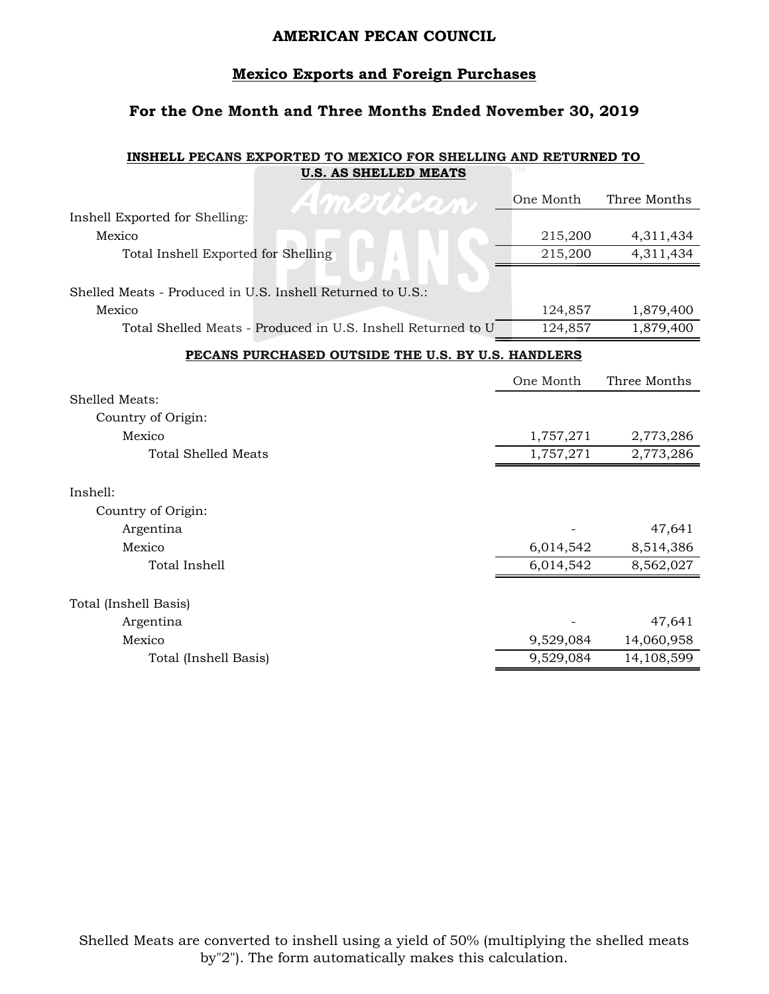#### **Mexico Exports and Foreign Purchases**

# **For the One Month and Three Months Ended November 30, 2019**

#### **INSHELL PECANS EXPORTED TO MEXICO FOR SHELLING AND RETURNED TO U.S. AS SHELLED MEATS**

| American                                                     | One Month | Three Months |
|--------------------------------------------------------------|-----------|--------------|
| Inshell Exported for Shelling:                               |           |              |
| Mexico                                                       | 215,200   | 4,311,434    |
| Total Inshell Exported for Shelling                          | 215,200   | 4,311,434    |
|                                                              |           |              |
| Shelled Meats - Produced in U.S. Inshell Returned to U.S.:   |           |              |
| Mexico                                                       | 124,857   | 1,879,400    |
| Total Shelled Meats - Produced in U.S. Inshell Returned to U | 124,857   | 1,879,400    |
| PECANS PURCHASED OUTSIDE THE U.S. BY U.S. HANDLERS           |           |              |
|                                                              | One Month | Three Months |
| Shelled Meats:                                               |           |              |
| Country of Origin:                                           |           |              |
| Mexico                                                       | 1,757,271 | 2,773,286    |
| <b>Total Shelled Meats</b>                                   | 1,757,271 | 2,773,286    |
|                                                              |           |              |
| Inshell:                                                     |           |              |
| Country of Origin:                                           |           |              |
| Argentina                                                    |           | 47,641       |
| Mexico                                                       | 6,014,542 | 8,514,386    |
| Total Inshell                                                | 6,014,542 | 8,562,027    |
|                                                              |           |              |
| Total (Inshell Basis)                                        |           |              |
| Argentina                                                    |           | 47,641       |
| Mexico                                                       | 9,529,084 | 14,060,958   |
| Total (Inshell Basis)                                        | 9,529,084 | 14,108,599   |

Shelled Meats are converted to inshell using a yield of 50% (multiplying the shelled meats by"2"). The form automatically makes this calculation.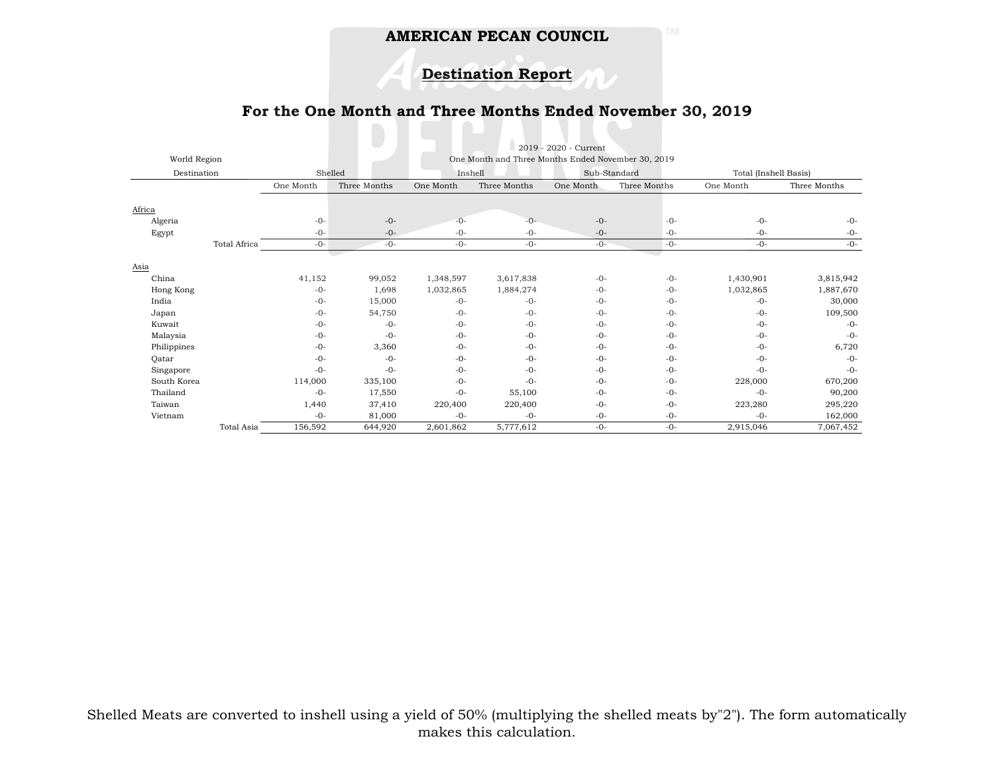**Destination Report**

## **For the One Month and Three Months Ended November 30, 2019**

|              |              |           |              |           |                                                    | 2019 - 2020 - Current |              |           |                       |  |
|--------------|--------------|-----------|--------------|-----------|----------------------------------------------------|-----------------------|--------------|-----------|-----------------------|--|
| World Region |              |           |              |           | One Month and Three Months Ended November 30, 2019 |                       |              |           |                       |  |
| Destination  |              |           | Shelled      |           | Inshell                                            |                       | Sub-Standard |           | Total (Inshell Basis) |  |
|              |              | One Month | Three Months | One Month | Three Months                                       | One Month             | Three Months | One Month | Three Months          |  |
| Africa       |              |           |              |           |                                                    |                       |              |           |                       |  |
| Algeria      |              | $-0-$     | $-0-$        | $-0-$     | $-0-$                                              | $-0-$                 | $-0-$        | $-0-$     | $-0-$                 |  |
| Egypt        |              | $-0-$     | $-0-$        | $-0-$     | $-0-$                                              | $-0-$                 | $-0-$        | $-0-$     | $-0-$                 |  |
|              | Total Africa | $-0-$     | $-0-$        | $-0-$     | $-0-$                                              | $-0-$                 | $-0-$        | $-0-$     | $-0-$                 |  |
|              |              |           |              |           |                                                    |                       |              |           |                       |  |
| Asia         |              |           |              |           |                                                    |                       |              |           |                       |  |
| China        |              | 41,152    | 99,052       | 1,348,597 | 3,617,838                                          | $-0-$                 | $-0-$        | 1,430,901 | 3,815,942             |  |
| Hong Kong    |              | $-0-$     | 1,698        | 1,032,865 | 1,884,274                                          | $-0-$                 | $-0-$        | 1,032,865 | 1,887,670             |  |
| India        |              | $-0-$     | 15,000       | $-0-$     | $-0-$                                              | $-0-$                 | $-0-$        | $-0-$     | 30,000                |  |
| Japan        |              | $-0-$     | 54,750       | $-0-$     | $-0-$                                              | $-0-$                 | $-0-$        | $-0-$     | 109,500               |  |
| Kuwait       |              | $-0-$     | $-0-$        | $-0-$     | $-0-$                                              | $-0-$                 | $-0-$        | $-0-$     | $-0-$                 |  |
| Malaysia     |              | $-0-$     | $-0-$        | $-0-$     | $-0-$                                              | $-0-$                 | $-0-$        | $-0-$     | $-0-$                 |  |
| Philippines  |              | $-0-$     | 3,360        | $-0-$     | $-0-$                                              | $-0-$                 | $-0-$        | $-0-$     | 6,720                 |  |
| Qatar        |              | $-0-$     | $-0-$        | $-0-$     | $-0-$                                              | $-0-$                 | $-0-$        | $-0-$     | $-0-$                 |  |
| Singapore    |              | $-0-$     | $-0-$        | $-0-$     | $-0-$                                              | $-0-$                 | $-0-$        | $-0-$     | $-0-$                 |  |
| South Korea  |              | 114,000   | 335,100      | $-0-$     | $-0-$                                              | $-0-$                 | $-0-$        | 228,000   | 670,200               |  |
| Thailand     |              | $-0-$     | 17,550       | $-0-$     | 55,100                                             | $-0-$                 | $-0-$        | $-0-$     | 90,200                |  |
| Taiwan       |              | 1,440     | 37,410       | 220,400   | 220,400                                            | $-0-$                 | $-0-$        | 223,280   | 295,220               |  |
| Vietnam      |              | $-0-$     | 81,000       | $-0-$     | $-0-$                                              | $-0-$                 | $-0-$        | $-0-$     | 162,000               |  |
|              | Total Asia   | 156,592   | 644,920      | 2,601,862 | 5,777,612                                          | $-0-$                 | $-0-$        | 2,915,046 | 7,067,452             |  |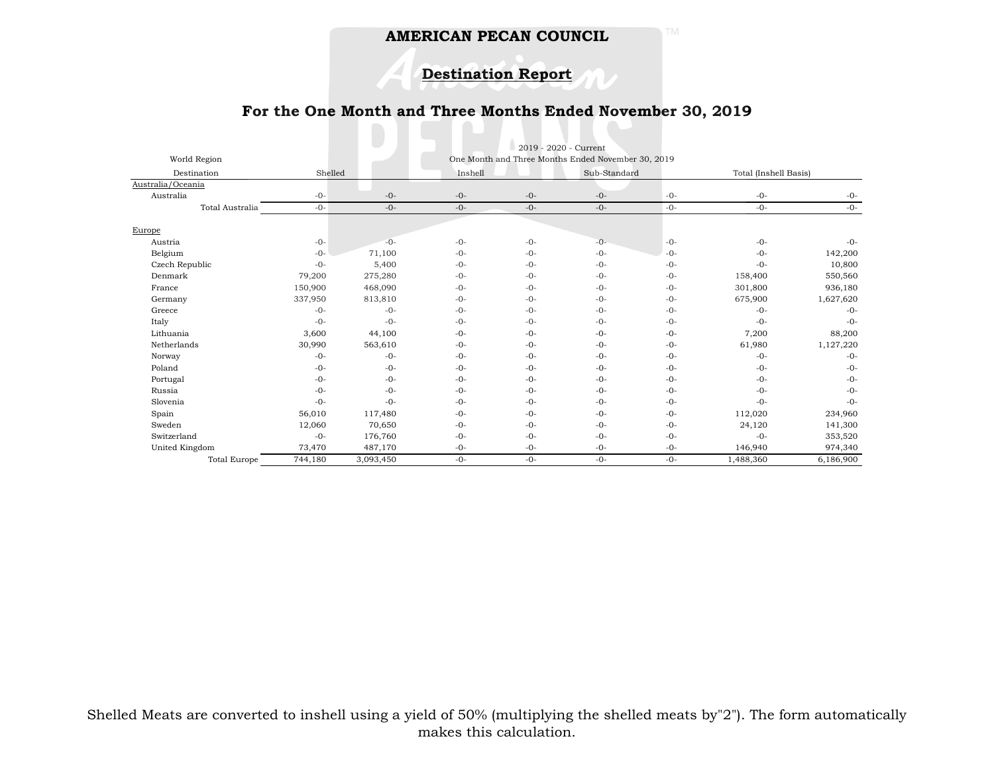# **Destination Report**

## **For the One Month and Three Months Ended November 30, 2019**

|                     | 2019 - 2020 - Current                              |           |         |         |              |         |                       |           |
|---------------------|----------------------------------------------------|-----------|---------|---------|--------------|---------|-----------------------|-----------|
| World Region        | One Month and Three Months Ended November 30, 2019 |           |         |         |              |         |                       |           |
| Destination         | Shelled                                            |           | Inshell |         | Sub-Standard |         | Total (Inshell Basis) |           |
| Australia/Oceania   |                                                    |           |         |         |              |         |                       |           |
| Australia           | $-0-$                                              | $-0-$     | $-0-$   | $-0-$   | $-0-$        | $-0-$   | $-0-$                 | $-0-$     |
| Total Australia     | $-0-$                                              | $-0-$     | $-0-$   | $-0-$   | $-0-$        | $-0-$   | $-0-$                 | $-0-$     |
|                     |                                                    |           |         |         |              |         |                       |           |
| Europe              |                                                    |           |         |         |              |         |                       |           |
| Austria             | $-0-$                                              | $-0-$     | $-0-$   | $-0-$   | $-0-$        | $-0-$   | $-0-$                 | $-0-$     |
| Belgium             | $-0-$                                              | 71,100    | $-0-$   | $-0-$   | $-0-$        | $-0-$   | $-0-$                 | 142,200   |
| Czech Republic      | $-0-$                                              | 5,400     | $-0-$   | $-0-$   | $-0-$        | $-0-$   | $-0-$                 | 10,800    |
| Denmark             | 79,200                                             | 275,280   | $-0-$   | $-()$ - | $-0-$        | $-0-$   | 158,400               | 550,560   |
| France              | 150,900                                            | 468,090   | $-0-$   | $-0-$   | $-0-$        | $-0-$   | 301,800               | 936,180   |
| Germany             | 337,950                                            | 813,810   | $-0-$   | $-0-$   | $-0-$        | $-0-$   | 675,900               | 1,627,620 |
| Greece              | $-0-$                                              | $-0-$     | $-0-$   | $-0-$   | $-0-$        | $-0-$   | $-0-$                 | $-0-$     |
| Italy               | $-0-$                                              | $-0-$     | $-0-$   | $-()$ - | $-0-$        | $-()$ - | $-0-$                 | $-0-$     |
| Lithuania           | 3,600                                              | 44,100    | $-0-$   | $-0-$   | $-0-$        | $-()$ - | 7,200                 | 88,200    |
| Netherlands         | 30,990                                             | 563,610   | $-0-$   | $-0-$   | $-0-$        | $-0-$   | 61,980                | 1,127,220 |
| Norway              | $-0-$                                              | $-0-$     | $-0-$   | $-0-$   | $-0-$        | $-0-$   | $-0-$                 | $-0-$     |
| Poland              | $-0-$                                              | $-0-$     | $-0-$   | $-0-$   | $-0-$        | $-0-$   | $-0-$                 | $-0-$     |
| Portugal            | $-0-$                                              | $-0-$     | $-0-$   | $-0-$   | $-0-$        | $-0-$   | $-0-$                 | $-0-$     |
| Russia              | $-0-$                                              | $-0-$     | $-0-$   | $-0-$   | $-0-$        | $-0-$   | $-0-$                 | $-0-$     |
| Slovenia            | $-0-$                                              | $-0-$     | $-0-$   | $-0-$   | $-0-$        | $-0-$   | $-0-$                 | $-0-$     |
| Spain               | 56,010                                             | 117,480   | $-0-$   | $-0-$   | $-0-$        | $-0-$   | 112,020               | 234,960   |
| Sweden              | 12,060                                             | 70,650    | $-0-$   | $-0-$   | $-0-$        | $-0-$   | 24,120                | 141,300   |
| Switzerland         | $-0-$                                              | 176,760   | $-0-$   | $-0-$   | $-0-$        | $-0-$   | $-0-$                 | 353,520   |
| United Kingdom      | 73,470                                             | 487,170   | $-0-$   | $-0-$   | $-0-$        | $-0-$   | 146,940               | 974,340   |
| <b>Total Europe</b> | 744,180                                            | 3,093,450 | $-0-$   | $-0-$   | $-0-$        | $-0-$   | 1,488,360             | 6,186,900 |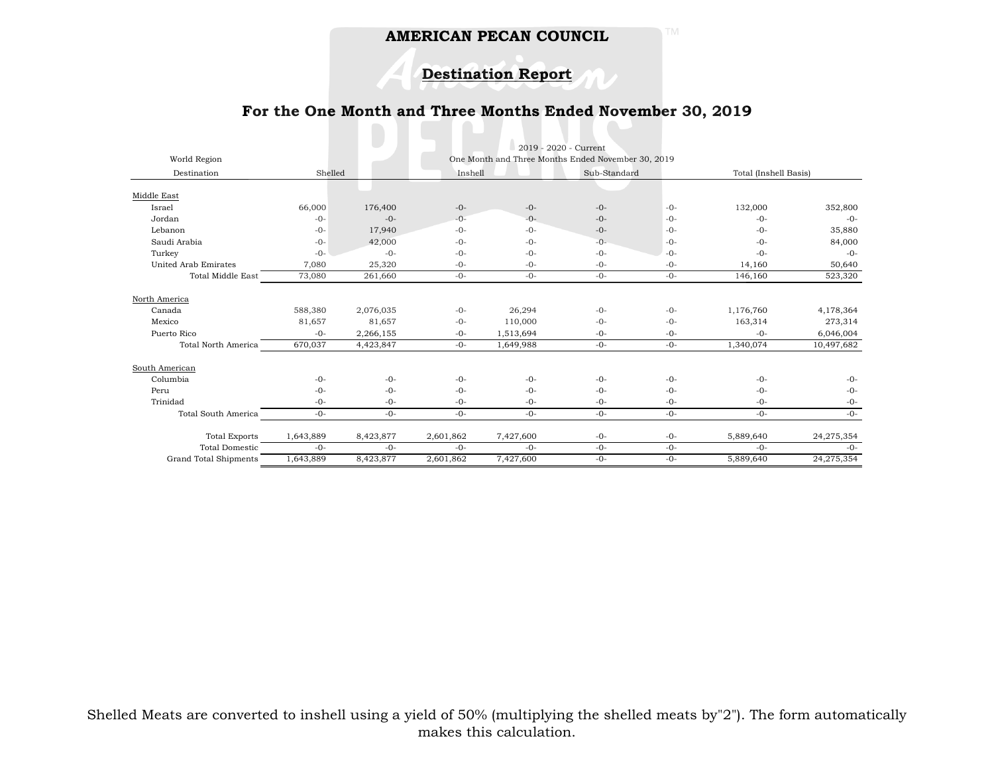# **Destination Report**

## **For the One Month and Three Months Ended November 30, 2019**

 $\blacksquare$ 

| World Region               | 2019 - 2020 - Current<br>One Month and Three Months Ended November 30, 2019 |           |           |           |       |              |           |                       |  |
|----------------------------|-----------------------------------------------------------------------------|-----------|-----------|-----------|-------|--------------|-----------|-----------------------|--|
| Destination                | Shelled                                                                     |           |           | Inshell   |       | Sub-Standard |           | Total (Inshell Basis) |  |
|                            |                                                                             |           |           |           |       |              |           |                       |  |
| Middle East                |                                                                             |           |           |           |       |              |           |                       |  |
| Israel                     | 66,000                                                                      | 176,400   | $-0-$     | $-0-$     | $-0-$ | $-0-$        | 132,000   | 352,800               |  |
| Jordan                     | $-0-$                                                                       | $-0-$     | $-0-$     | $-()$ -   | $-0-$ | $-0-$        | $-0-$     | $-0-$                 |  |
| Lebanon                    | $-0-$                                                                       | 17,940    | $-0-$     | $-0-$     | $-0-$ | $-()$ -      | $-0-$     | 35,880                |  |
| Saudi Arabia               | $-0-$                                                                       | 42,000    | $-0-$     | $-0-$     | $-0-$ | $-0-$        | $-0-$     | 84,000                |  |
| Turkey                     | $-0-$                                                                       | $-0-$     | $-0-$     | $-0-$     | $-0-$ | $-0-$        | $-0-$     | $-0-$                 |  |
| United Arab Emirates       | 7,080                                                                       | 25,320    | $-0-$     | $-0-$     | $-0-$ | $-0-$        | 14,160    | 50,640                |  |
| <b>Total Middle East</b>   | 73,080                                                                      | 261,660   | $-0-$     | $-0-$     | $-0-$ | $-0-$        | 146,160   | 523,320               |  |
| North America              |                                                                             |           |           |           |       |              |           |                       |  |
| Canada                     | 588,380                                                                     | 2,076,035 | $-0-$     | 26,294    | $-0-$ | $-0-$        | 1,176,760 | 4,178,364             |  |
| Mexico                     | 81,657                                                                      | 81,657    | $-0-$     | 110,000   | $-0-$ | $-0-$        | 163,314   | 273,314               |  |
| Puerto Rico                | $-0-$                                                                       | 2,266,155 | $-0-$     | 1,513,694 | $-0-$ | $-0-$        | $-()$ -   | 6,046,004             |  |
| <b>Total North America</b> | 670,037                                                                     | 4,423,847 | $-0-$     | 1,649,988 | $-0-$ | $-0-$        | 1,340,074 | 10,497,682            |  |
| South American             |                                                                             |           |           |           |       |              |           |                       |  |
| Columbia                   | $-0-$                                                                       | $-0-$     | $-0-$     | $-0-$     | $-0-$ | $-0-$        | $-0-$     | $-0-$                 |  |
| Peru                       | $-()$ -                                                                     | $-0-$     | $-0-$     | $-()$ -   | $-0-$ | $-0-$        | $-0-$     | $-0-$                 |  |
| Trinidad                   | $-0-$                                                                       | $-0-$     | $-0-$     | $-0-$     | $-0-$ | $-0-$        | $-0-$     | $-0-$                 |  |
| Total South America        | $-0-$                                                                       | $-0-$     | $-0-$     | $-0-$     | $-0-$ | $-0-$        | $-0-$     | $-0-$                 |  |
| <b>Total Exports</b>       | 1,643,889                                                                   | 8,423,877 | 2,601,862 | 7,427,600 | $-0-$ | $-0-$        | 5,889,640 | 24,275,354            |  |
| <b>Total Domestic</b>      | $-0-$                                                                       | $-0-$     | $-0-$     | $-0-$     | $-0-$ | $-0-$        | $-0-$     | $-0-$                 |  |
| Grand Total Shipments      | 1,643,889                                                                   | 8,423,877 | 2,601,862 | 7,427,600 | $-0-$ | $-0-$        | 5,889,640 | 24,275,354            |  |